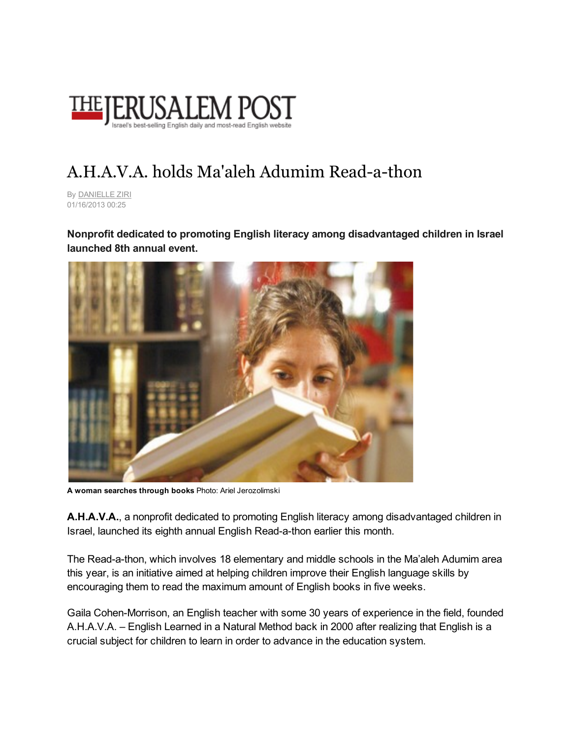

## A.H.A.V.A. holds Ma'aleh Adumim Read-a-thon

By [DANIELLE](http://www.google.com/url?q=http%3A%2F%2Fwww.jpost.com%2FAuthors%2FAuthorPage.aspx%3Fid%3D175&sa=D&sntz=1&usg=AFQjCNEX5PkDD3zJsYtcXWp-5v00AXdCrw) ZIRI 01/16/2013 00:25

Nonprofit dedicated to promoting English literacy among disadvantaged children in Israel launched 8th annual event.



A woman searches through books Photo: Ariel Jerozolimski

A.H.A.V.A., a nonprofit dedicated to promoting English literacy among disadvantaged children in Israel, launched its eighth annual English Read-a-thon earlier this month.

The Read-a-thon, which involves 18 elementary and middle schools in the Ma'aleh Adumim area this year, is an initiative aimed at helping children improve their English language skills by encouraging them to read the maximum amount of English books in five weeks.

Gaila Cohen-Morrison, an English teacher with some 30 years of experience in the field, founded A.H.A.V.A. – English Learned in a Natural Method back in 2000 after realizing that English is a crucial subject for children to learn in order to advance in the education system.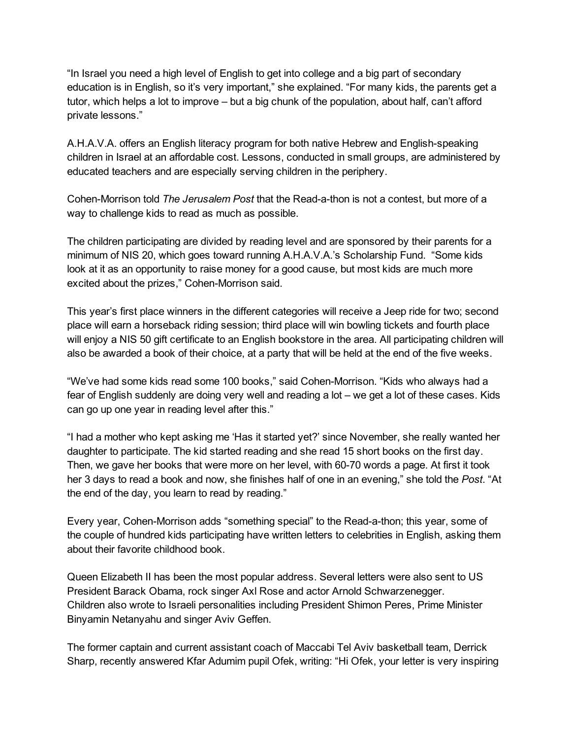"In Israel you need a high level of English to get into college and a big part of secondary education is in English, so it's very important," she explained. "For many kids, the parents get a tutor, which helps a lot to improve – but a big chunk of the population, about half, can't afford private lessons."

A.H.A.V.A. offers an English literacy program for both native Hebrew and English-speaking children in Israel at an affordable cost. Lessons, conducted in small groups, are administered by educated teachers and are especially serving children in the periphery.

Cohen-Morrison told *The Jerusalem Post* that the Read-a-thon is not a contest, but more of a way to challenge kids to read as much as possible.

The children participating are divided by reading level and are sponsored by their parents for a minimum of NIS 20, which goes toward running A.H.A.V.A.'s Scholarship Fund. "Some kids look at it as an opportunity to raise money for a good cause, but most kids are much more excited about the prizes," Cohen-Morrison said.

This year's first place winners in the different categories will receive a Jeep ride for two; second place will earn a horseback riding session; third place will win bowling tickets and fourth place will enjoy a NIS 50 gift certificate to an English bookstore in the area. All participating children will also be awarded a book of their choice, at a party that will be held at the end of the five weeks.

"We've had some kids read some 100 books," said Cohen-Morrison. "Kids who always had a fear of English suddenly are doing very well and reading a lot – we get a lot of these cases. Kids can go up one year in reading level after this."

"I had a mother who kept asking me 'Has it started yet?' since November, she really wanted her daughter to participate. The kid started reading and she read 15 short books on the first day. Then, we gave her books that were more on her level, with 60-70 words a page. At first it took her 3 days to read a book and now, she finishes half of one in an evening," she told the *Post*. "At the end of the day, you learn to read by reading."

Every year, Cohen-Morrison adds "something special" to the Read-a-thon; this year, some of the couple of hundred kids participating have written letters to celebrities in English, asking them about their favorite childhood book.

Queen Elizabeth II has been the most popular address. Several letters were also sent to US President Barack Obama, rock singer Axl Rose and actor Arnold Schwarzenegger. Children also wrote to Israeli personalities including President Shimon Peres, Prime Minister Binyamin Netanyahu and singer Aviv Geffen.

The former captain and current assistant coach of Maccabi Tel Aviv basketball team, Derrick Sharp, recently answered Kfar Adumim pupil Ofek, writing: "Hi Ofek, your letter is very inspiring